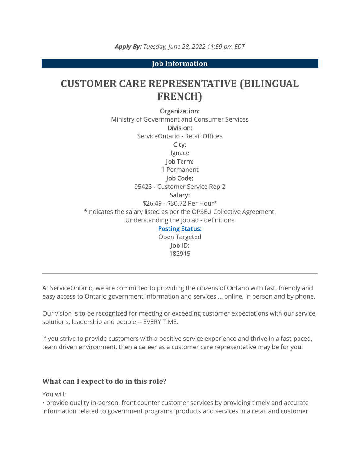**Job Information**

# **CUSTOMER CARE REPRESENTATIVE (BILINGUAL FRENCH)**

Organization:

Ministry of Government and Consumer Services Division: ServiceOntario - Retail Offices City: Ignace Job Term: 1 Permanent Job Code: 95423 - Customer Service Rep 2 Salary: \$26.49 - \$30.72 Per Hour\* \*Indicates the salary listed as per the OPSEU Collective Agreement. Understanding the job ad - definitions [Posting Status:](https://www.ontario.ca/page/careers-job-ad-definitions) Open Targeted Job ID:

At ServiceOntario, we are committed to providing the citizens of Ontario with fast, friendly and easy access to Ontario government information and services … online, in person and by phone.

182915

Our vision is to be recognized for meeting or exceeding customer expectations with our service, solutions, leadership and people -- EVERY TIME.

If you strive to provide customers with a positive service experience and thrive in a fast-paced, team driven environment, then a career as a customer care representative may be for you!

#### **What can I expect to do in this role?**

You will:

• provide quality in-person, front counter customer services by providing timely and accurate information related to government programs, products and services in a retail and customer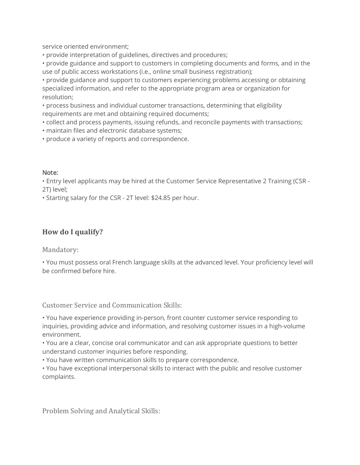service oriented environment;

• provide interpretation of guidelines, directives and procedures;

• provide guidance and support to customers in completing documents and forms, and in the use of public access workstations (i.e., online small business registration);

• provide guidance and support to customers experiencing problems accessing or obtaining specialized information, and refer to the appropriate program area or organization for resolution;

• process business and individual customer transactions, determining that eligibility requirements are met and obtaining required documents;

• collect and process payments, issuing refunds, and reconcile payments with transactions;

• maintain files and electronic database systems;

• produce a variety of reports and correspondence.

#### Note:

• Entry level applicants may be hired at the Customer Service Representative 2 Training (CSR - 2T) level;

• Starting salary for the CSR - 2T level: \$24.85 per hour.

## **How do I qualify?**

Mandatory:

• You must possess oral French language skills at the advanced level. Your proficiency level will be confirmed before hire.

Customer Service and Communication Skills:

• You have experience providing in-person, front counter customer service responding to inquiries, providing advice and information, and resolving customer issues in a high-volume environment.

• You are a clear, concise oral communicator and can ask appropriate questions to better understand customer inquiries before responding.

• You have written communication skills to prepare correspondence.

• You have exceptional interpersonal skills to interact with the public and resolve customer complaints.

Problem Solving and Analytical Skills: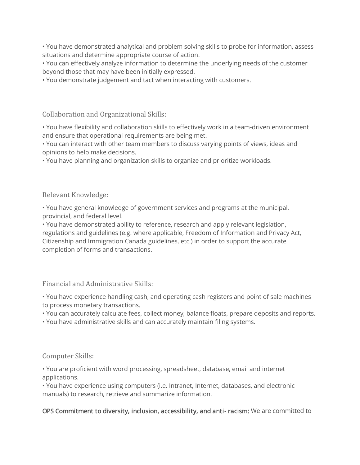• You have demonstrated analytical and problem solving skills to probe for information, assess situations and determine appropriate course of action.

• You can effectively analyze information to determine the underlying needs of the customer beyond those that may have been initially expressed.

• You demonstrate judgement and tact when interacting with customers.

Collaboration and Organizational Skills:

• You have flexibility and collaboration skills to effectively work in a team-driven environment and ensure that operational requirements are being met.

• You can interact with other team members to discuss varying points of views, ideas and opinions to help make decisions.

• You have planning and organization skills to organize and prioritize workloads.

Relevant Knowledge:

• You have general knowledge of government services and programs at the municipal, provincial, and federal level.

• You have demonstrated ability to reference, research and apply relevant legislation, regulations and guidelines (e.g. where applicable, Freedom of Information and Privacy Act, Citizenship and Immigration Canada guidelines, etc.) in order to support the accurate completion of forms and transactions.

Financial and Administrative Skills:

• You have experience handling cash, and operating cash registers and point of sale machines to process monetary transactions.

• You can accurately calculate fees, collect money, balance floats, prepare deposits and reports.

• You have administrative skills and can accurately maintain filing systems.

Computer Skills:

• You are proficient with word processing, spreadsheet, database, email and internet applications.

• You have experience using computers (i.e. Intranet, Internet, databases, and electronic manuals) to research, retrieve and summarize information.

### OPS Commitment to diversity, inclusion, accessibility, and anti- racism: We are committed to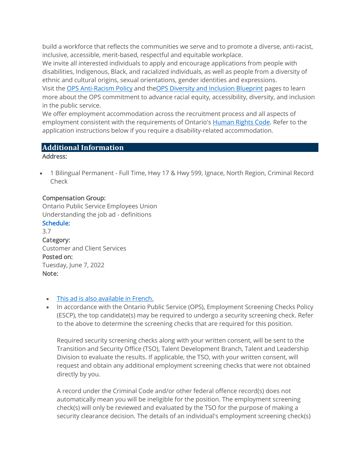build a workforce that reflects the communities we serve and to promote a diverse, anti-racist, inclusive, accessible, merit-based, respectful and equitable workplace.

We invite all interested individuals to apply and encourage applications from people with disabilities, Indigenous, Black, and racialized individuals, as well as people from a diversity of ethnic and cultural origins, sexual orientations, gender identities and expressions.

Visit the [OPS Anti-Racism Policy](https://www.ontario.ca/page/ontario-public-service-anti-racism-policy) and theOPS [Diversity and Inclusion Blueprint](https://www.ontario.ca/page/ops-inclusion-diversity-blueprint) pages to learn more about the OPS commitment to advance racial equity, accessibility, diversity, and inclusion in the public service.

We offer employment accommodation across the recruitment process and all aspects of employment consistent with the requirements of Ontario's [Human Rights Code.](http://www.ohrc.on.ca/en/ontario-human-rights-code) Refer to the application instructions below if you require a disability-related accommodation.

#### **Additional Information**

#### Address:

• 1 Bilingual Permanent - Full Time, Hwy 17 & Hwy 599, Ignace, North Region, Criminal Record Check

#### Compensation Group:

Ontario Public Service Employees Union Understanding the job ad - definitions [Schedule:](https://www.ontario.ca/page/careers-job-ad-definitions)

3.7 Category: Customer and Client Services Posted on: Tuesday, June 7, 2022 Note:

#### • [This ad is also available in French.](https://intra.ejobs.careers.gov.on.ca/Preview.aspx?Language=French&JobID=182915)

• In accordance with the Ontario Public Service (OPS), Employment Screening Checks Policy (ESCP), the top candidate(s) may be required to undergo a security screening check. Refer to the above to determine the screening checks that are required for this position.

Required security screening checks along with your written consent, will be sent to the Transition and Security Office (TSO), Talent Development Branch, Talent and Leadership Division to evaluate the results. If applicable, the TSO, with your written consent, will request and obtain any additional employment screening checks that were not obtained directly by you.

A record under the Criminal Code and/or other federal offence record(s) does not automatically mean you will be ineligible for the position. The employment screening check(s) will only be reviewed and evaluated by the TSO for the purpose of making a security clearance decision. The details of an individual's employment screening check(s)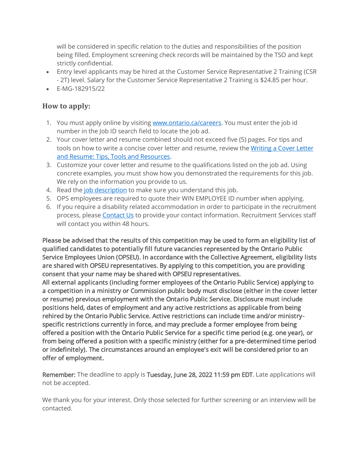will be considered in specific relation to the duties and responsibilities of the position being filled. Employment screening check records will be maintained by the TSO and kept strictly confidential.

- Entry level applicants may be hired at the Customer Service Representative 2 Training (CSR - 2T) level. Salary for the Customer Service Representative 2 Training is \$24.85 per hour.
- E-MG-182915/22

### **How to apply:**

- 1. You must apply online by visiting [www.ontario.ca/careers.](http://www.ontario.ca/careers) You must enter the job id number in the Job ID search field to locate the job ad.
- 2. Your cover letter and resume combined should not exceed five (5) pages. For tips and tools on how to write a concise cover letter and resume, review the Writing a Cover Letter [and Resume: Tips, Tools and Resources.](https://www.gojobs.gov.on.ca/Docs/OPSCoverLetterandResumeWritingGuide.pdf)
- 3. Customize your cover letter and resume to the qualifications listed on the job ad. Using concrete examples, you must show how you demonstrated the requirements for this job. We rely on the information you provide to us.
- 4. Read the [job description](https://intra.ejobs.careers.gov.on.ca/PDR.aspx?Language=English&JobID=182915) to make sure you understand this job.
- 5. OPS employees are required to quote their WIN EMPLOYEE ID number when applying.
- 6. If you require a disability related accommodation in order to participate in the recruitment process, please [Contact Us](https://www.gojobs.gov.on.ca/ContactUs.aspx) to provide your contact information. Recruitment Services staff will contact you within 48 hours.

Please be advised that the results of this competition may be used to form an eligibility list of qualified candidates to potentially fill future vacancies represented by the Ontario Public Service Employees Union (OPSEU). In accordance with the Collective Agreement, eligibility lists are shared with OPSEU representatives. By applying to this competition, you are providing consent that your name may be shared with OPSEU representatives.

All external applicants (including former employees of the Ontario Public Service) applying to a competition in a ministry or Commission public body must disclose (either in the cover letter or resume) previous employment with the Ontario Public Service. Disclosure must include positions held, dates of employment and any active restrictions as applicable from being rehired by the Ontario Public Service. Active restrictions can include time and/or ministryspecific restrictions currently in force, and may preclude a former employee from being offered a position with the Ontario Public Service for a specific time period (e.g. one year), or from being offered a position with a specific ministry (either for a pre-determined time period or indefinitely). The circumstances around an employee's exit will be considered prior to an offer of employment.

Remember: The deadline to apply is Tuesday, June 28, 2022 11:59 pm EDT. Late applications will not be accepted.

We thank you for your interest. Only those selected for further screening or an interview will be contacted.